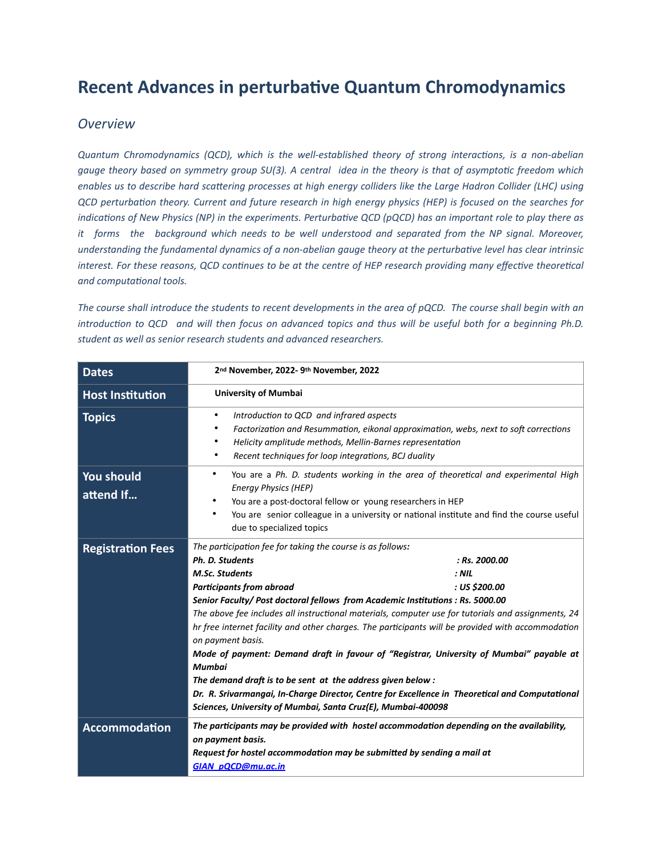## **Recent Advances in perturbative Quantum Chromodynamics**

#### *Overview*

*Quantum Chromodynamics (QCD), which is the well-established theory of strong interactions, is a non-abelian gauge theory based on symmetry group SU(3). A central idea in the theory is that of asymptotic freedom which enables us to describe hard scattering processes at high energy colliders like the Large Hadron Collider (LHC) using QCD perturbation theory. Current and future research in high energy physics (HEP) is focused on the searches for indications of New Physics (NP) in the experiments. Perturbative QCD (pQCD) has an important role to play there as it forms the background which needs to be well understood and separated from the NP signal. Moreover, understanding the fundamental dynamics of a non-abelian gauge theory at the perturbative level has clear intrinsic*  interest. For these reasons, QCD continues to be at the centre of HEP research providing many effective theoretical *and computational tools.*

*The course shall introduce the students to recent developments in the area of pQCD. The course shall begin with an introduction to QCD and will then focus on advanced topics and thus will be useful both for a beginning Ph.D. student as well as senior research students and advanced researchers.*

| <b>Dates</b>             | 2 <sup>nd</sup> November, 2022- 9th November, 2022                                                                                                                                                                                                                                                                                                                                                                                                                                                                                                                                                                                                                                                                                                                                                                                                    |  |  |
|--------------------------|-------------------------------------------------------------------------------------------------------------------------------------------------------------------------------------------------------------------------------------------------------------------------------------------------------------------------------------------------------------------------------------------------------------------------------------------------------------------------------------------------------------------------------------------------------------------------------------------------------------------------------------------------------------------------------------------------------------------------------------------------------------------------------------------------------------------------------------------------------|--|--|
| <b>Host Institution</b>  | <b>University of Mumbai</b>                                                                                                                                                                                                                                                                                                                                                                                                                                                                                                                                                                                                                                                                                                                                                                                                                           |  |  |
| <b>Topics</b>            | Introduction to QCD and infrared aspects<br>٠<br>Factorization and Resummation, eikonal approximation, webs, next to soft corrections<br>٠<br>Helicity amplitude methods, Mellin-Barnes representation<br>٠<br>Recent techniques for loop integrations, BCJ duality<br>٠                                                                                                                                                                                                                                                                                                                                                                                                                                                                                                                                                                              |  |  |
| You should<br>attend If  | You are a Ph. D. students working in the area of theoretical and experimental High<br>$\bullet$<br><b>Energy Physics (HEP)</b><br>You are a post-doctoral fellow or young researchers in HEP<br>You are senior colleague in a university or national institute and find the course useful<br>due to specialized topics                                                                                                                                                                                                                                                                                                                                                                                                                                                                                                                                |  |  |
| <b>Registration Fees</b> | The participation fee for taking the course is as follows:<br>Ph. D. Students<br>: Rs. 2000.00<br><b>M.Sc. Students</b><br>$:$ NIL<br><b>Participants from abroad</b><br>: US \$200.00<br>Senior Faculty/ Post doctoral fellows from Academic Institutions : Rs. 5000.00<br>The above fee includes all instructional materials, computer use for tutorials and assignments, 24<br>hr free internet facility and other charges. The participants will be provided with accommodation<br>on payment basis.<br>Mode of payment: Demand draft in favour of "Registrar, University of Mumbai" payable at<br><b>Mumbai</b><br>The demand draft is to be sent at the address given below:<br>Dr. R. Srivarmangai, In-Charge Director, Centre for Excellence in Theoretical and Computational<br>Sciences, University of Mumbai, Santa Cruz(E), Mumbai-400098 |  |  |
| <b>Accommodation</b>     | The participants may be provided with hostel accommodation depending on the availability,<br>on payment basis.<br>Request for hostel accommodation may be submitted by sending a mail at<br><b>GIAN pQCD@mu.ac.in</b>                                                                                                                                                                                                                                                                                                                                                                                                                                                                                                                                                                                                                                 |  |  |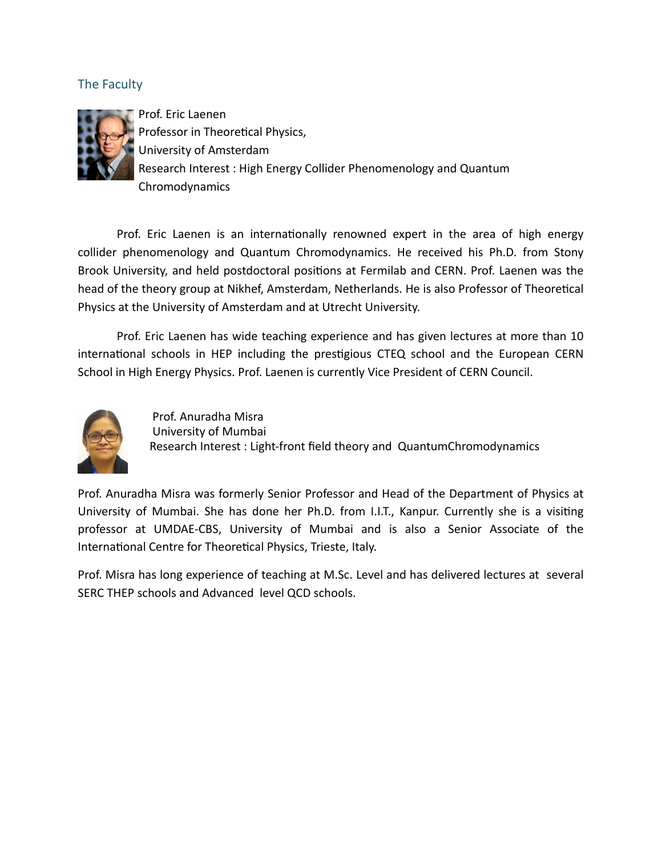### The Faculty



Prof. Eric Laenen Professor in Theoretical Physics, University of Amsterdam Research Interest : High Energy Collider Phenomenology and Quantum Chromodynamics

Prof. Eric Laenen is an internationally renowned expert in the area of high energy collider phenomenology and Quantum Chromodynamics. He received his Ph.D. from Stony Brook University, and held postdoctoral positions at Fermilab and CERN. Prof. Laenen was the head of the theory group at Nikhef, Amsterdam, Netherlands. He is also Professor of Theoretical Physics at the University of Amsterdam and at Utrecht University.

Prof. Eric Laenen has wide teaching experience and has given lectures at more than 10 international schools in HEP including the prestigious CTEQ school and the European CERN School in High Energy Physics. Prof. Laenen is currently Vice President of CERN Council.



 Prof. Anuradha Misra University of Mumbai Research Interest : Light-front field theory and QuantumChromodynamics

Prof. Anuradha Misra was formerly Senior Professor and Head of the Department of Physics at University of Mumbai. She has done her Ph.D. from I.I.T., Kanpur. Currently she is a visiting professor at UMDAE-CBS, University of Mumbai and is also a Senior Associate of the International Centre for Theoretical Physics, Trieste, Italy.

Prof. Misra has long experience of teaching at M.Sc. Level and has delivered lectures at several SERC THEP schools and Advanced level QCD schools.